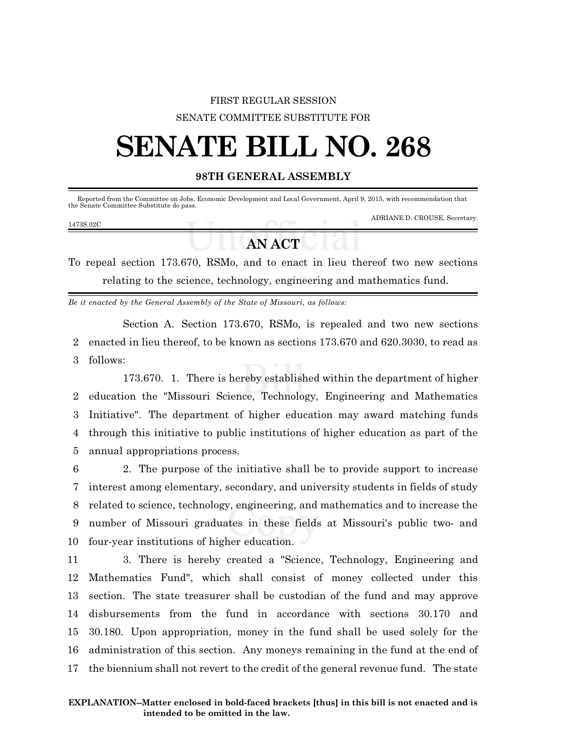## FIRST REGULAR SESSION SENATE COMMITTEE SUBSTITUTE FOR

## **SENATE BILL NO. 268**

## **98TH GENERAL ASSEMBLY**

| 1473S.02C | the Senate Committee Substitute do pass. |  | Reported from the Committee on Jobs, Economic Development and Local Government, April 9, 2015, with recommendation that |
|-----------|------------------------------------------|--|-------------------------------------------------------------------------------------------------------------------------|
|           |                                          |  | ADRIANE D. CROUSE, Secretary.                                                                                           |

## **AN ACT**

To repeal section 173.670, RSMo, and to enact in lieu thereof two new sections relating to the science, technology, engineering and mathematics fund.

*Be it enacted by the General Assembly of the State of Missouri, as follows:*

Section A. Section 173.670, RSMo, is repealed and two new sections 2 enacted in lieu thereof, to be known as sections 173.670 and 620.3030, to read as 3 follows:

173.670. 1. There is hereby established within the department of higher education the "Missouri Science, Technology, Engineering and Mathematics Initiative". The department of higher education may award matching funds through this initiative to public institutions of higher education as part of the annual appropriations process.

 2. The purpose of the initiative shall be to provide support to increase interest among elementary, secondary, and university students in fields of study related to science, technology, engineering, and mathematics and to increase the number of Missouri graduates in these fields at Missouri's public two- and four-year institutions of higher education.

 3. There is hereby created a "Science, Technology, Engineering and Mathematics Fund", which shall consist of money collected under this section. The state treasurer shall be custodian of the fund and may approve disbursements from the fund in accordance with sections 30.170 and 30.180. Upon appropriation, money in the fund shall be used solely for the administration of this section. Any moneys remaining in the fund at the end of the biennium shall not revert to the credit of the general revenue fund. The state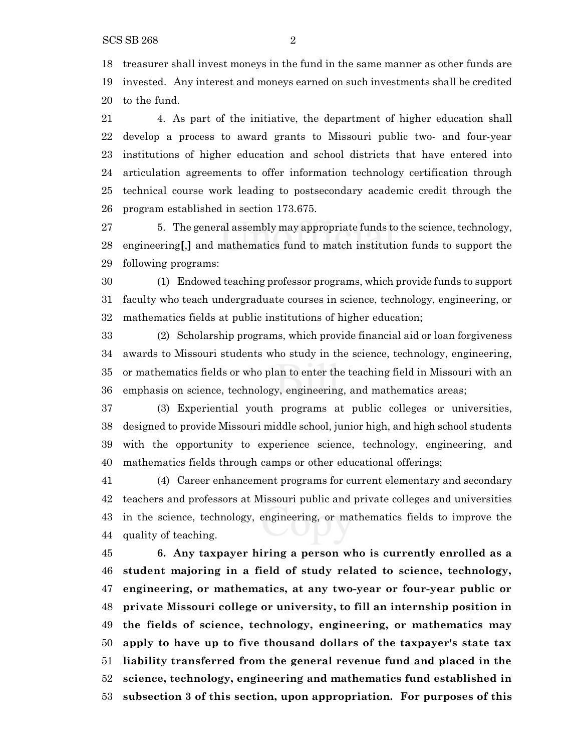SCS SB 268 2

 treasurer shall invest moneys in the fund in the same manner as other funds are invested. Any interest and moneys earned on such investments shall be credited to the fund.

 4. As part of the initiative, the department of higher education shall develop a process to award grants to Missouri public two- and four-year institutions of higher education and school districts that have entered into articulation agreements to offer information technology certification through technical course work leading to postsecondary academic credit through the program established in section 173.675.

27 5. The general assembly may appropriate funds to the science, technology, engineering**[**,**]** and mathematics fund to match institution funds to support the following programs:

 (1) Endowed teaching professor programs, which provide funds to support faculty who teach undergraduate courses in science, technology, engineering, or mathematics fields at public institutions of higher education;

 (2) Scholarship programs, which provide financial aid or loan forgiveness awards to Missouri students who study in the science, technology, engineering, or mathematics fields or who plan to enter the teaching field in Missouri with an emphasis on science, technology, engineering, and mathematics areas;

 (3) Experiential youth programs at public colleges or universities, designed to provide Missouri middle school, junior high, and high school students with the opportunity to experience science, technology, engineering, and mathematics fields through camps or other educational offerings;

 (4) Career enhancement programs for current elementary and secondary teachers and professors at Missouri public and private colleges and universities in the science, technology, engineering, or mathematics fields to improve the quality of teaching.

 **6. Any taxpayer hiring a person who is currently enrolled as a student majoring in a field of study related to science, technology, engineering, or mathematics, at any two-year or four-year public or private Missouri college or university, to fill an internship position in the fields of science, technology, engineering, or mathematics may apply to have up to five thousand dollars of the taxpayer's state tax liability transferred from the general revenue fund and placed in the science, technology, engineering and mathematics fund established in subsection 3 of this section, upon appropriation. For purposes of this**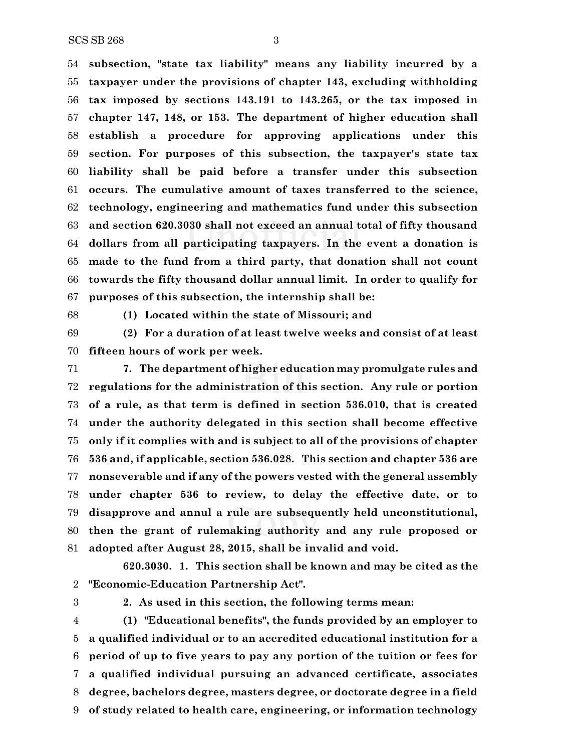$SCS SB 268$   $3$ 

 **subsection, "state tax liability" means any liability incurred by a taxpayer under the provisions of chapter 143, excluding withholding tax imposed by sections 143.191 to 143.265, or the tax imposed in chapter 147, 148, or 153. The department of higher education shall establish a procedure for approving applications under this section. For purposes of this subsection, the taxpayer's state tax liability shall be paid before a transfer under this subsection occurs. The cumulative amount of taxes transferred to the science, technology, engineering and mathematics fund under this subsection and section 620.3030 shall not exceed an annual total of fifty thousand dollars from all participating taxpayers. In the event a donation is made to the fund from a third party, that donation shall not count towards the fifty thousand dollar annual limit. In order to qualify for purposes of this subsection, the internship shall be:**

**(1) Located within the state of Missouri; and**

 **(2) For a duration of at least twelve weeks and consist of at least fifteen hours of work per week.**

 **7. The department of higher education may promulgate rules and regulations for the administration of this section. Any rule or portion of a rule, as that term is defined in section 536.010, that is created under the authority delegated in this section shall become effective only if it complies with and is subject to all of the provisions of chapter 536 and, if applicable, section 536.028. This section and chapter 536 are nonseverable and if any of the powers vested with the general assembly under chapter 536 to review, to delay the effective date, or to disapprove and annul a rule are subsequently held unconstitutional, then the grant of rulemaking authority and any rule proposed or adopted after August 28, 2015, shall be invalid and void.**

**620.3030. 1. This section shall be known and may be cited as the "Economic-Education Partnership Act".**

**2. As used in this section, the following terms mean:**

 **(1) "Educational benefits", the funds provided by an employer to a qualified individual or to an accredited educational institution for a period of up to five years to pay any portion of the tuition or fees for a qualified individual pursuing an advanced certificate, associates degree, bachelors degree, masters degree, or doctorate degree in a field of study related to health care, engineering, or information technology**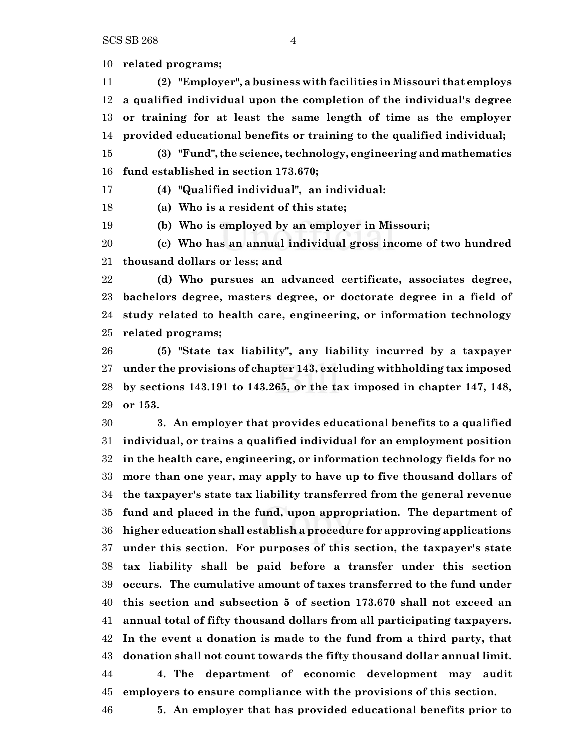SCS SB 268 4

**related programs;**

 **(2) "Employer", a business with facilities in Missouri that employs a qualified individual upon the completion of the individual's degree or training for at least the same length of time as the employer provided educational benefits or training to the qualified individual;**

 **(3) "Fund", the science, technology, engineering and mathematics fund established in section 173.670;**

**(4) "Qualified individual", an individual:**

**(a) Who is a resident of this state;**

**(b) Who is employed by an employer in Missouri;**

 **(c) Who has an annual individual gross income of two hundred thousand dollars or less; and**

 **(d) Who pursues an advanced certificate, associates degree, bachelors degree, masters degree, or doctorate degree in a field of study related to health care, engineering, or information technology related programs;**

 **(5) "State tax liability", any liability incurred by a taxpayer under the provisions of chapter 143, excluding withholding tax imposed by sections 143.191 to 143.265, or the tax imposed in chapter 147, 148, or 153.**

 **3. An employer that provides educational benefits to a qualified individual, or trains a qualified individual for an employment position in the health care, engineering, or information technology fields for no more than one year, may apply to have up to five thousand dollars of the taxpayer's state tax liability transferred from the general revenue fund and placed in the fund, upon appropriation. The department of higher education shall establish a procedure for approving applications under this section. For purposes of this section, the taxpayer's state tax liability shall be paid before a transfer under this section occurs. The cumulative amount of taxes transferred to the fund under this section and subsection 5 of section 173.670 shall not exceed an annual total of fifty thousand dollars from all participating taxpayers. In the event a donation is made to the fund from a third party, that donation shall not count towards the fifty thousand dollar annual limit. 4. The department of economic development may audit employers to ensure compliance with the provisions of this section.**

**5. An employer that has provided educational benefits prior to**